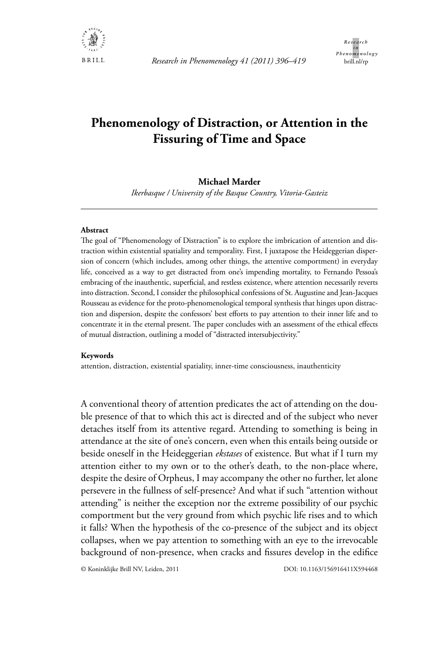

# **Phenomenology of Distraction, or Attention in the Fissuring of Time and Space**

# **Michael Marder**

*Ikerbasque / University of the Basque Country, Vitoria-Gasteiz*

## **Abstract**

The goal of "Phenomenology of Distraction" is to explore the imbrication of attention and distraction within existential spatiality and temporality. First, I juxtapose the Heideggerian dispersion of concern (which includes, among other things, the attentive comportment) in everyday life, conceived as a way to get distracted from one's impending mortality, to Fernando Pessoa's embracing of the inauthentic, superficial, and restless existence, where attention necessarily reverts into distraction. Second, I consider the philosophical confessions of St. Augustine and Jean-Jacques Rousseau as evidence for the proto-phenomenological temporal synthesis that hinges upon distraction and dispersion, despite the confessors' best efforts to pay attention to their inner life and to concentrate it in the eternal present. The paper concludes with an assessment of the ethical effects of mutual distraction, outlining a model of "distracted intersubjectivity."

#### **Keywords**

attention, distraction, existential spatiality, inner-time consciousness, inauthenticity

A conventional theory of attention predicates the act of attending on the double presence of that to which this act is directed and of the subject who never detaches itself from its attentive regard. Attending to something is being in attendance at the site of one's concern, even when this entails being outside or beside oneself in the Heideggerian *ekstases* of existence. But what if I turn my attention either to my own or to the other's death, to the non-place where, despite the desire of Orpheus, I may accompany the other no further, let alone persevere in the fullness of self-presence? And what if such "attention without attending" is neither the exception nor the extreme possibility of our psychic comportment but the very ground from which psychic life rises and to which it falls? When the hypothesis of the co-presence of the subject and its object collapses, when we pay attention to something with an eye to the irrevocable background of non-presence, when cracks and fissures develop in the edifice

© Koninklijke Brill NV, Leiden, 2011 DOI: 10.1163/156916411X594468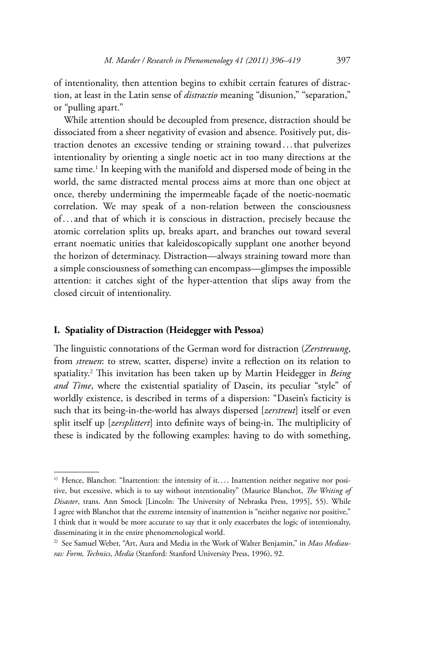of intentionality, then attention begins to exhibit certain features of distraction, at least in the Latin sense of *distractio* meaning "disunion," "separation," or "pulling apart."

While attention should be decoupled from presence, distraction should be dissociated from a sheer negativity of evasion and absence. Positively put, distraction denotes an excessive tending or straining toward . . . that pulverizes intentionality by orienting a single noetic act in too many directions at the same time.<sup>1</sup> In keeping with the manifold and dispersed mode of being in the world, the same distracted mental process aims at more than one object at once, thereby undermining the impermeable façade of the noetic-noematic correlation. We may speak of a non-relation between the consciousness of . . . and that of which it is conscious in distraction, precisely because the atomic correlation splits up, breaks apart, and branches out toward several errant noematic unities that kaleidoscopically supplant one another beyond the horizon of determinacy. Distraction—always straining toward more than a simple consciousness of something can encompass—glimpses the impossible attention: it catches sight of the hyper-attention that slips away from the closed circuit of intentionality.

# **I. Spatiality of Distraction (Heidegger with Pessoa)**

The linguistic connotations of the German word for distraction (*Zerstreuung*, from *streuen*: to strew, scatter, disperse) invite a reflection on its relation to spatiality.2 This invitation has been taken up by Martin Heidegger in *Being and Time*, where the existential spatiality of Dasein, its peculiar "style" of worldly existence, is described in terms of a dispersion: "Dasein's facticity is such that its being-in-the-world has always dispersed [*zerstreut*] itself or even split itself up [*zersplittert*] into definite ways of being-in. The multiplicity of these is indicated by the following examples: having to do with something,

<sup>&</sup>lt;sup>1)</sup> Hence, Blanchot: "Inattention: the intensity of it.... Inattention neither negative nor positive, but excessive, which is to say without intentionality" (Maurice Blanchot, *The Writing of Disaster*, trans. Ann Smock [Lincoln: The University of Nebraska Press, 1995], 55). While I agree with Blanchot that the extreme intensity of inattention is "neither negative nor positive," I think that it would be more accurate to say that it only exacerbates the logic of intentionalty, disseminating it in the entire phenomenological world.

<sup>2)</sup> See Samuel Weber, "Art, Aura and Media in the Work of Walter Benjamin," in *Mass Mediauras: Form, Technics, Media* (Stanford: Stanford University Press, 1996), 92.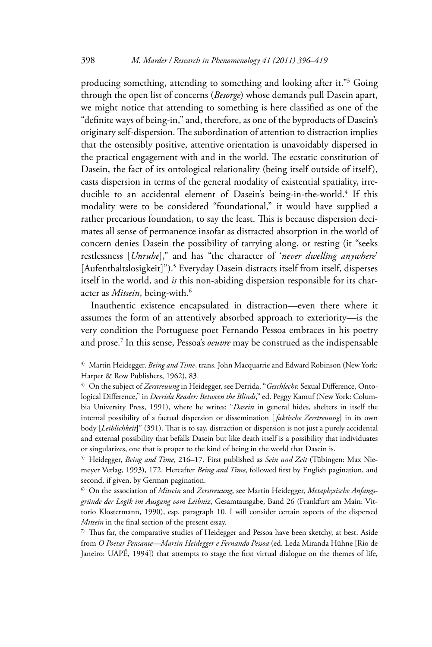producing something, attending to something and looking after it."3 Going through the open list of concerns (*Besorge*) whose demands pull Dasein apart, we might notice that attending to something is here classified as one of the "definite ways of being-in," and, therefore, as one of the byproducts of Dasein's originary self-dispersion. The subordination of attention to distraction implies that the ostensibly positive, attentive orientation is unavoidably dispersed in the practical engagement with and in the world. The ecstatic constitution of Dasein, the fact of its ontological relationality (being itself outside of itself ), casts dispersion in terms of the general modality of existential spatiality, irreducible to an accidental element of Dasein's being-in-the-world.<sup>4</sup> If this modality were to be considered "foundational," it would have supplied a rather precarious foundation, to say the least. This is because dispersion decimates all sense of permanence insofar as distracted absorption in the world of concern denies Dasein the possibility of tarrying along, or resting (it "seeks restlessness [*Unruhe*]," and has "the character of '*never dwelling anywhere*' [Aufenthaltslosigkeit]").<sup>5</sup> Everyday Dasein distracts itself from itself, disperses itself in the world, and *is* this non-abiding dispersion responsible for its character as *Mitsein*, being-with.<sup>6</sup>

Inauthentic existence encapsulated in distraction—even there where it assumes the form of an attentively absorbed approach to exteriority—is the very condition the Portuguese poet Fernando Pessoa embraces in his poetry and prose.7 In this sense, Pessoa's *oeuvre* may be construed as the indispensable

<sup>&</sup>lt;sup>3)</sup> Martin Heidegger, *Being and Time*, trans. John Macquarrie and Edward Robinson (New York: Harper & Row Publishers, 1962), 83.

<sup>&</sup>lt;sup>4)</sup> On the subject of Zerstreuung in Heidegger, see Derrida, "Geschlecht: Sexual Difference, Ontological Difference," in *Derrida Reader: Between the Blinds*," ed. Peggy Kamuf (New York: Columbia University Press, 1991), where he writes: "*Dasein* in general hides, shelters in itself the internal possibility of a factual dispersion or dissemination [ *faktische Zerstreuung*] in its own body [*Leiblichkeit*]" (391). That is to say, distraction or dispersion is not just a purely accidental and external possibility that befalls Dasein but like death itself is a possibility that individuates or singularizes, one that is proper to the kind of being in the world that Dasein is.

<sup>5)</sup> Heidegger, *Being and Time*, 216–17. First published as *Sein und Zeit* (Tübingen: Max Niemeyer Verlag, 1993), 172. Hereafter *Being and Time*, followed first by English pagination, and second, if given, by German pagination.

<sup>6)</sup> On the association of *Mitsein* and *Zerstreuung*, see Martin Heidegger, *Metaphysische Anfangsgründe der Logik im Ausgang vom Leibniz*, Gesamtausgabe, Band 26 (Frankfurt am Main: Vittorio Klostermann, 1990), esp. paragraph 10. I will consider certain aspects of the dispersed *Mitsein* in the final section of the present essay.

<sup>7)</sup> Thus far, the comparative studies of Heidegger and Pessoa have been sketchy, at best. Aside from *O Poetar Pensante—Martin Heidegger e Fernando Pessoa* (ed. Leda Miranda Hühne [Rio de Janeiro: UAPÉ, 1994]) that attempts to stage the first virtual dialogue on the themes of life,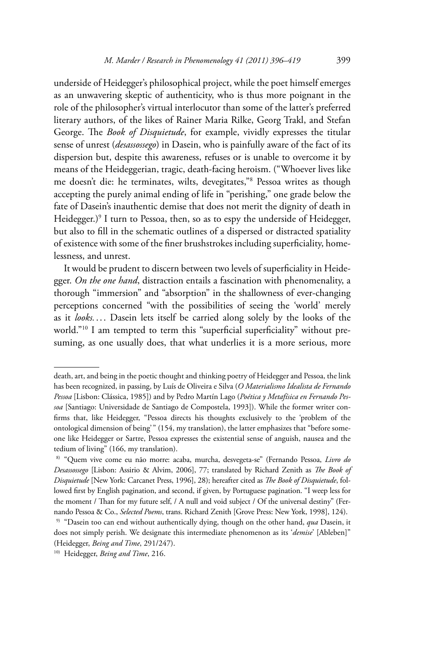underside of Heidegger's philosophical project, while the poet himself emerges as an unwavering skeptic of authenticity, who is thus more poignant in the role of the philosopher's virtual interlocutor than some of the latter's preferred literary authors, of the likes of Rainer Maria Rilke, Georg Trakl, and Stefan George. The *Book of Disquietude*, for example, vividly expresses the titular sense of unrest (*desassossego*) in Dasein, who is painfully aware of the fact of its dispersion but, despite this awareness, refuses or is unable to overcome it by means of the Heideggerian, tragic, death-facing heroism. ("Whoever lives like me doesn't die: he terminates, wilts, devegitates,"8 Pessoa writes as though accepting the purely animal ending of life in "perishing," one grade below the fate of Dasein's inauthentic demise that does not merit the dignity of death in Heidegger.)9 I turn to Pessoa, then, so as to espy the underside of Heidegger, but also to fill in the schematic outlines of a dispersed or distracted spatiality of existence with some of the finer brushstrokes including superficiality, homelessness, and unrest.

It would be prudent to discern between two levels of superficiality in Heidegger. *On the one hand*, distraction entails a fascination with phenomenality, a thorough "immersion" and "absorption" in the shallowness of ever-changing perceptions concerned "with the possibilities of seeing the 'world' merely as it *looks....* Dasein lets itself be carried along solely by the looks of the world."10 I am tempted to term this "superficial superficiality" without presuming, as one usually does, that what underlies it is a more serious, more

death, art, and being in the poetic thought and thinking poetry of Heidegger and Pessoa, the link has been recognized, in passing, by Luís de Oliveira e Silva (*O Materialismo Idealista de Fernando Pessoa* [Lisbon: Clássica, 1985]) and by Pedro Martín Lago (*Poética y Metafísica en Fernando Pessoa* [Santiago: Universidade de Santiago de Compostela, 1993]). While the former writer confirms that, like Heidegger, "Pessoa directs his thoughts exclusively to the 'problem of the ontological dimension of being<sup>'</sup>" (154, my translation), the latter emphasizes that "before someone like Heidegger or Sartre, Pessoa expresses the existential sense of anguish, nausea and the tedium of living" (166, my translation).

 <sup>8) &</sup>quot;Quem vive come eu não morre: acaba, murcha, desvegeta-se" (Fernando Pessoa, *Livro do Desassossego* [Lisbon: Assirio & Alvim, 2006], 77; translated by Richard Zenith as *The Book of Disquietude* [New York: Carcanet Press, 1996], 28); hereafter cited as *The Book of Disquietude*, followed first by English pagination, and second, if given, by Portuguese pagination. "I weep less for the moment / Than for my future self, / A null and void subject / Of the universal destiny" (Fernando Pessoa & Co., *Selected Poems*, trans. Richard Zenith [Grove Press: New York, 1998], 124). 9) "Dasein too can end without authentically dying, though on the other hand, *qua* Dasein, it

does not simply perish. We designate this intermediate phenomenon as its '*demise*' [Ableben]" (Heidegger, *Being and Time*, 291/247).

<sup>10)</sup> Heidegger, *Being and Time*, 216.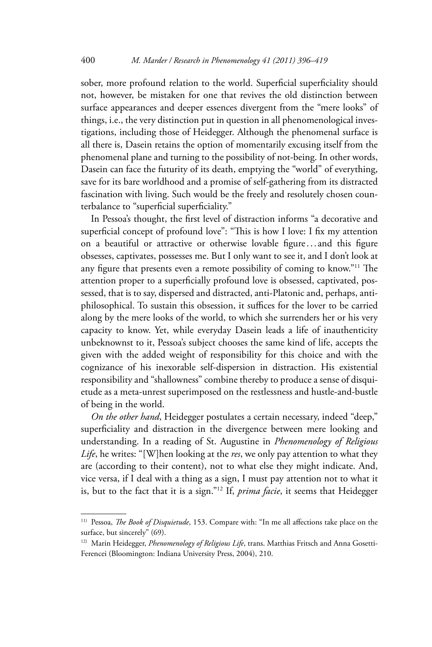sober, more profound relation to the world. Superficial superficiality should not, however, be mistaken for one that revives the old distinction between surface appearances and deeper essences divergent from the "mere looks" of things, i.e., the very distinction put in question in all phenomenological investigations, including those of Heidegger. Although the phenomenal surface is all there is, Dasein retains the option of momentarily excusing itself from the phenomenal plane and turning to the possibility of not-being. In other words, Dasein can face the futurity of its death, emptying the "world" of everything, save for its bare worldhood and a promise of self-gathering from its distracted fascination with living. Such would be the freely and resolutely chosen counterbalance to "superficial superficiality."

In Pessoa's thought, the first level of distraction informs "a decorative and superficial concept of profound love": "This is how I love: I fix my attention on a beautiful or attractive or otherwise lovable figure...and this figure obsesses, captivates, possesses me. But I only want to see it, and I don't look at any figure that presents even a remote possibility of coming to know."11 The attention proper to a superficially profound love is obsessed, captivated, possessed, that is to say, dispersed and distracted, anti-Platonic and, perhaps, antiphilosophical. To sustain this obsession, it suffices for the lover to be carried along by the mere looks of the world, to which she surrenders her or his very capacity to know. Yet, while everyday Dasein leads a life of inauthenticity unbeknownst to it, Pessoa's subject chooses the same kind of life, accepts the given with the added weight of responsibility for this choice and with the cognizance of his inexorable self-dispersion in distraction. His existential responsibility and "shallowness" combine thereby to produce a sense of disquietude as a meta-unrest superimposed on the restlessness and hustle-and-bustle of being in the world.

*On the other hand*, Heidegger postulates a certain necessary, indeed "deep," superficiality and distraction in the divergence between mere looking and understanding. In a reading of St. Augustine in *Phenomenology of Religious Life*, he writes: "[W]hen looking at the *res*, we only pay attention to what they are (according to their content), not to what else they might indicate. And, vice versa, if I deal with a thing as a sign, I must pay attention not to what it is, but to the fact that it is a sign."12 If, *prima facie*, it seems that Heidegger

<sup>11)</sup> Pessoa, *The Book of Disquietude*, 153. Compare with: "In me all affections take place on the surface, but sincerely" (69).

<sup>&</sup>lt;sup>12)</sup> Marin Heidegger, *Phenomenology of Religious Life*, trans. Matthias Fritsch and Anna Gosetti-Ferencei (Bloomington: Indiana University Press, 2004), 210.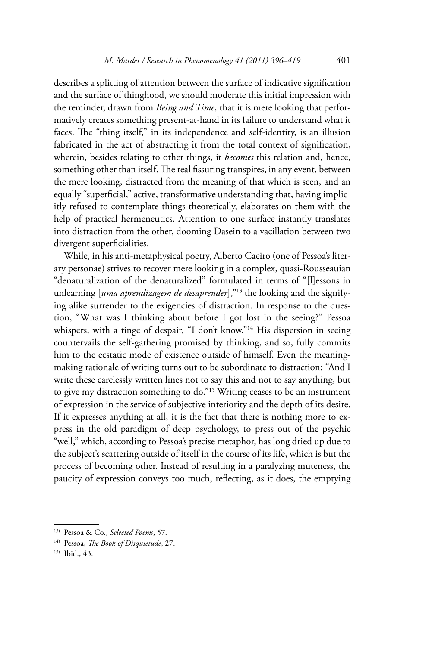describes a splitting of attention between the surface of indicative signification and the surface of thinghood, we should moderate this initial impression with the reminder, drawn from *Being and Time*, that it is mere looking that performatively creates something present-at-hand in its failure to understand what it faces. The "thing itself," in its independence and self-identity, is an illusion fabricated in the act of abstracting it from the total context of signification, wherein, besides relating to other things, it *becomes* this relation and, hence, something other than itself. The real fissuring transpires, in any event, between the mere looking, distracted from the meaning of that which is seen, and an equally "superficial," active, transformative understanding that, having implicitly refused to contemplate things theoretically, elaborates on them with the help of practical hermeneutics. Attention to one surface instantly translates into distraction from the other, dooming Dasein to a vacillation between two divergent superficialities.

While, in his anti-metaphysical poetry, Alberto Caeiro (one of Pessoa's literary personae) strives to recover mere looking in a complex, quasi-Rousseauian "denaturalization of the denaturalized" formulated in terms of "[l]essons in unlearning [*uma aprendizagem de desaprender*],"<sup>13</sup> the looking and the signifying alike surrender to the exigencies of distraction. In response to the question, "What was I thinking about before I got lost in the seeing?" Pessoa whispers, with a tinge of despair, "I don't know."<sup>14</sup> His dispersion in seeing countervails the self-gathering promised by thinking, and so, fully commits him to the ecstatic mode of existence outside of himself. Even the meaningmaking rationale of writing turns out to be subordinate to distraction: "And I write these carelessly written lines not to say this and not to say anything, but to give my distraction something to do."15 Writing ceases to be an instrument of expression in the service of subjective interiority and the depth of its desire. If it expresses anything at all, it is the fact that there is nothing more to express in the old paradigm of deep psychology, to press out of the psychic "well," which, according to Pessoa's precise metaphor, has long dried up due to the subject's scattering outside of itself in the course of its life, which is but the process of becoming other. Instead of resulting in a paralyzing muteness, the paucity of expression conveys too much, reflecting, as it does, the emptying

<sup>13)</sup> Pessoa & Co., *Selected Poems*, 57.

<sup>14)</sup> Pessoa, *The Book of Disquietude*, 27.

<sup>15)</sup> Ibid., 43.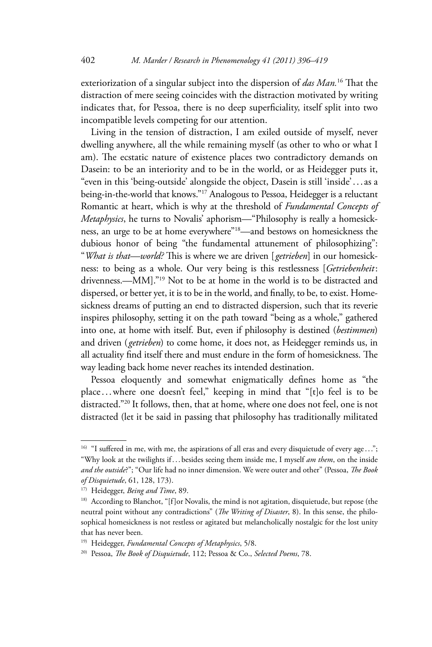exteriorization of a singular subject into the dispersion of *das Man.*16 That the distraction of mere seeing coincides with the distraction motivated by writing indicates that, for Pessoa, there is no deep superficiality, itself split into two incompatible levels competing for our attention.

Living in the tension of distraction, I am exiled outside of myself, never dwelling anywhere, all the while remaining myself (as other to who or what I am). The ecstatic nature of existence places two contradictory demands on Dasein: to be an interiority and to be in the world, or as Heidegger puts it, "even in this 'being-outside' alongside the object, Dasein is still 'inside' . . . as a being-in-the-world that knows."17 Analogous to Pessoa, Heidegger is a reluctant Romantic at heart, which is why at the threshold of *Fundamental Concepts of Metaphysics*, he turns to Novalis' aphorism—"Philosophy is really a homesickness, an urge to be at home everywhere"18—and bestows on homesickness the dubious honor of being "the fundamental attunement of philosophizing": "*What is that—world?* This is where we are driven [ *getrieben*] in our homesickness: to being as a whole. Our very being is this restlessness [*Getriebenheit* : drivenness.—MM]."19 Not to be at home in the world is to be distracted and dispersed, or better yet, it is to be in the world, and finally, to be, to exist. Homesickness dreams of putting an end to distracted dispersion, such that its reverie inspires philosophy, setting it on the path toward "being as a whole," gathered into one, at home with itself. But, even if philosophy is destined (*bestimmen*) and driven ( *getrieben*) to come home, it does not, as Heidegger reminds us, in all actuality find itself there and must endure in the form of homesickness. The way leading back home never reaches its intended destination.

Pessoa eloquently and somewhat enigmatically defines home as "the place . . . where one doesn't feel," keeping in mind that "[t]o feel is to be distracted."20 It follows, then, that at home, where one does not feel, one is not distracted (let it be said in passing that philosophy has traditionally militated

<sup>&</sup>lt;sup>16)</sup> "I suffered in me, with me, the aspirations of all eras and every disquietude of every age..."; "Why look at the twilights if ... besides seeing them inside me, I myself *am them*, on the inside *and the outside*?"; "Our life had no inner dimension. We were outer and other" (Pessoa, *The Book of Disquietude*, 61, 128, 173).

<sup>17)</sup> Heidegger, *Being and Time*, 89.

<sup>&</sup>lt;sup>18)</sup> According to Blanchot, "[f]or Novalis, the mind is not agitation, disquietude, but repose (the neutral point without any contradictions" (*The Writing of Disaster*, 8). In this sense, the philosophical homesickness is not restless or agitated but melancholically nostalgic for the lost unity that has never been.

<sup>19)</sup> Heidegger, *Fundamental Concepts of Metaphysics*, 5/8.

<sup>20)</sup> Pessoa, *The Book of Disquietude*, 112; Pessoa & Co., *Selected Poems*, 78.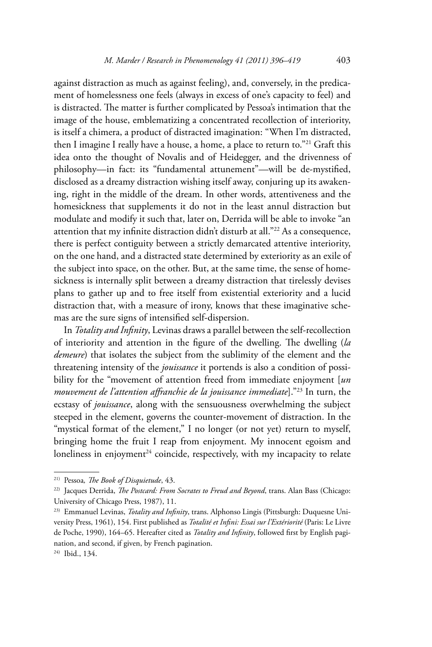against distraction as much as against feeling), and, conversely, in the predicament of homelessness one feels (always in excess of one's capacity to feel) and is distracted. The matter is further complicated by Pessoa's intimation that the image of the house, emblematizing a concentrated recollection of interiority, is itself a chimera, a product of distracted imagination: "When I'm distracted, then I imagine I really have a house, a home, a place to return to."21 Graft this idea onto the thought of Novalis and of Heidegger, and the drivenness of philosophy—in fact: its "fundamental attunement"—will be de-mystified, disclosed as a dreamy distraction wishing itself away, conjuring up its awakening, right in the middle of the dream. In other words, attentiveness and the homesickness that supplements it do not in the least annul distraction but modulate and modify it such that, later on, Derrida will be able to invoke "an attention that my infinite distraction didn't disturb at all."<sup>22</sup> As a consequence, there is perfect contiguity between a strictly demarcated attentive interiority, on the one hand, and a distracted state determined by exteriority as an exile of the subject into space, on the other. But, at the same time, the sense of homesickness is internally split between a dreamy distraction that tirelessly devises plans to gather up and to free itself from existential exteriority and a lucid distraction that, with a measure of irony, knows that these imaginative schemas are the sure signs of intensified self-dispersion.

In *Totality and Infinity*, Levinas draws a parallel between the self- recollection of interiority and attention in the figure of the dwelling. The dwelling (*la demeure*) that isolates the subject from the sublimity of the element and the threatening intensity of the *jouissance* it portends is also a condition of possibility for the "movement of attention freed from immediate enjoyment [*un mouvement de l'attention affranchie de la jouissance immediate*]."23 In turn, the ecstasy of *jouissance*, along with the sensuousness overwhelming the subject steeped in the element, governs the counter-movement of distraction. In the "mystical format of the element," I no longer (or not yet) return to myself, bringing home the fruit I reap from enjoyment. My innocent egoism and loneliness in enjoyment<sup>24</sup> coincide, respectively, with my incapacity to relate

<sup>21)</sup> Pessoa*, The Book of Disquietude*, 43.

<sup>22)</sup> Jacques Derrida, *The Postcard: From Socrates to Freud and Beyond*, trans. Alan Bass (Chicago: University of Chicago Press, 1987), 11.

<sup>23)</sup> Emmanuel Levinas, *Totality and Infinity*, trans. Alphonso Lingis (Pittsburgh: Duquesne University Press, 1961), 154. First published as *Totalité et Infini: Essai sur l'Extériorité* (Paris: Le Livre de Poche, 1990), 164–65. Hereafter cited as *Totality and Infinity*, followed first by English pagination, and second, if given, by French pagination.

<sup>24)</sup> Ibid., 134.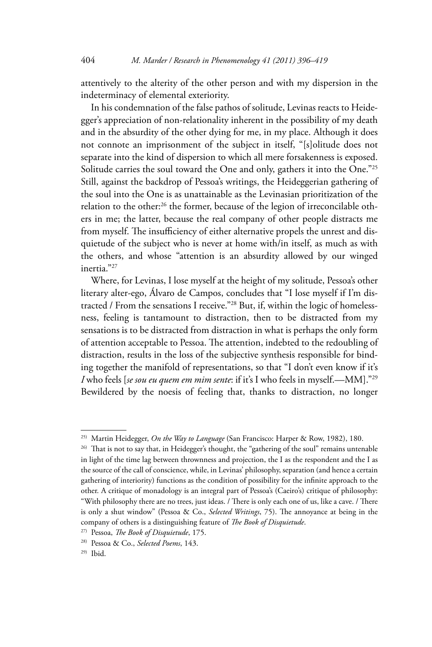attentively to the alterity of the other person and with my dispersion in the indeterminacy of elemental exteriority.

In his condemnation of the false pathos of solitude, Levinas reacts to Heidegger's appreciation of non-relationality inherent in the possibility of my death and in the absurdity of the other dying for me, in my place. Although it does not connote an imprisonment of the subject in itself, "[s]olitude does not separate into the kind of dispersion to which all mere forsakenness is exposed. Solitude carries the soul toward the One and only, gathers it into the One."<sup>25</sup> Still, against the backdrop of Pessoa's writings, the Heideggerian gathering of the soul into the One is as unattainable as the Levinasian prioritization of the relation to the other:<sup>26</sup> the former, because of the legion of irreconcilable others in me; the latter, because the real company of other people distracts me from myself. The insufficiency of either alternative propels the unrest and disquietude of the subject who is never at home with/in itself, as much as with the others, and whose "attention is an absurdity allowed by our winged inertia."27

Where, for Levinas, I lose myself at the height of my solitude, Pessoa's other literary alter-ego, Álvaro de Campos, concludes that "I lose myself if I'm distracted / From the sensations I receive."28 But, if, within the logic of homelessness, feeling is tantamount to distraction, then to be distracted from my sensations is to be distracted from distraction in what is perhaps the only form of attention acceptable to Pessoa. The attention, indebted to the redoubling of distraction, results in the loss of the subjective synthesis responsible for binding together the manifold of representations, so that "I don't even know if it's *I* who feels [*se sou eu quem em mim sente*: if it's I who feels in myself.—MM]."29 Bewildered by the noesis of feeling that, thanks to distraction, no longer

<sup>25)</sup> Martin Heidegger, *On the Way to Language* (San Francisco: Harper & Row, 1982), 180.

<sup>&</sup>lt;sup>26)</sup> That is not to say that, in Heidegger's thought, the "gathering of the soul" remains untenable in light of the time lag between thrownness and projection, the I as the respondent and the I as the source of the call of conscience, while, in Levinas' philosophy, separation (and hence a certain gathering of interiority) functions as the condition of possibility for the infinite approach to the other. A critique of monadology is an integral part of Pessoa's (Caeiro's) critique of philosophy: "With philosophy there are no trees, just ideas. / There is only each one of us, like a cave. / There is only a shut window" (Pessoa & Co., *Selected Writings*, 75). The annoyance at being in the company of others is a distinguishing feature of *The Book of Disquietude*. 27) Pessoa, *The Book of Disquietude*, 175.

<sup>28)</sup> Pessoa & Co., *Selected Poems*, 143.

<sup>29)</sup> Ibid.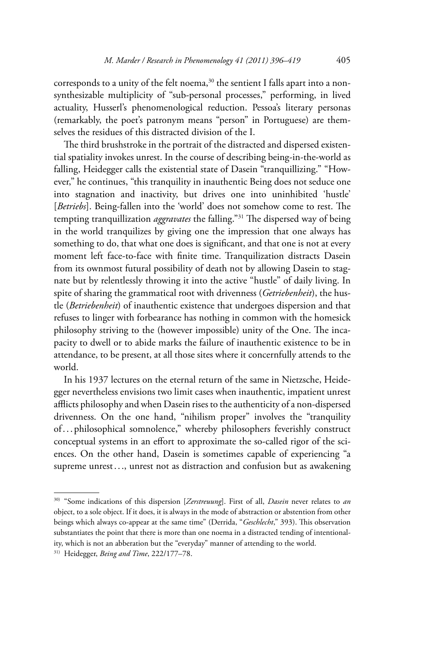corresponds to a unity of the felt noema, $30$  the sentient I falls apart into a nonsynthesizable multiplicity of "sub-personal processes," performing, in lived actuality, Husserl's phenomenological reduction. Pessoa's literary personas (remarkably, the poet's patronym means "person" in Portuguese) are themselves the residues of this distracted division of the I.

The third brushstroke in the portrait of the distracted and dispersed existential spatiality invokes unrest. In the course of describing being-in-the-world as falling, Heidegger calls the existential state of Dasein "tranquillizing." "However," he continues, "this tranquility in inauthentic Being does not seduce one into stagnation and inactivity, but drives one into uninhibited 'hustle' [*Betriebs*]. Being-fallen into the 'world' does not somehow come to rest. The tempting tranquillization *aggravates* the falling."31 The dispersed way of being in the world tranquilizes by giving one the impression that one always has something to do, that what one does is significant, and that one is not at every moment left face-to-face with finite time. Tranquilization distracts Dasein from its ownmost futural possibility of death not by allowing Dasein to stagnate but by relentlessly throwing it into the active "hustle" of daily living. In spite of sharing the grammatical root with drivenness (*Getriebenheit*), the hustle (*Betriebenheit*) of inauthentic existence that undergoes dispersion and that refuses to linger with forbearance has nothing in common with the homesick philosophy striving to the (however impossible) unity of the One. The incapacity to dwell or to abide marks the failure of inauthentic existence to be in attendance, to be present, at all those sites where it concernfully attends to the world.

In his 1937 lectures on the eternal return of the same in Nietzsche, Heidegger nevertheless envisions two limit cases when inauthentic, impatient unrest afflicts philosophy and when Dasein rises to the authenticity of a non- dispersed drivenness. On the one hand, "nihilism proper" involves the "tranquility of...philosophical somnolence," whereby philosophers feverishly construct conceptual systems in an effort to approximate the so-called rigor of the sciences. On the other hand, Dasein is sometimes capable of experiencing "a supreme unrest..., unrest not as distraction and confusion but as awakening

<sup>30) &</sup>quot;Some indications of this dispersion [*Zerstreuung*]. First of all, *Dasein* never relates to *an*  object, to a sole object. If it does, it is always in the mode of abstraction or abstention from other beings which always co-appear at the same time" (Derrida, "*Geschlecht*," 393). This observation substantiates the point that there is more than one noema in a distracted tending of intentionality, which is not an abberation but the "everyday" manner of attending to the world.

<sup>31)</sup> Heidegger, *Being and Time*, 222/177–78.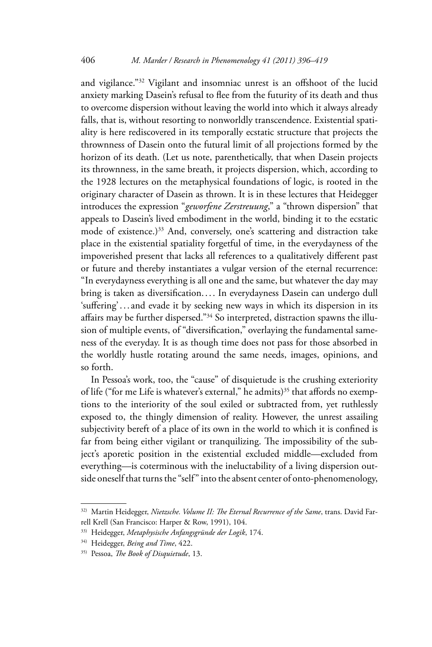and vigilance."32 Vigilant and insomniac unrest is an offshoot of the lucid anxiety marking Dasein's refusal to flee from the futurity of its death and thus to overcome dispersion without leaving the world into which it always already falls, that is, without resorting to nonworldly transcendence. Existential spatiality is here rediscovered in its temporally ecstatic structure that projects the thrownness of Dasein onto the futural limit of all projections formed by the horizon of its death. (Let us note, parenthetically, that when Dasein projects its thrownness, in the same breath, it projects dispersion, which, according to the 1928 lectures on the metaphysical foundations of logic, is rooted in the originary character of Dasein as thrown. It is in these lectures that Heidegger introduces the expression "*geworfene Zerstreuung*," a "thrown dispersion" that appeals to Dasein's lived embodiment in the world, binding it to the ecstatic mode of existence.)<sup>33</sup> And, conversely, one's scattering and distraction take place in the existential spatiality forgetful of time, in the everydayness of the impoverished present that lacks all references to a qualitatively different past or future and thereby instantiates a vulgar version of the eternal recurrence: "In everydayness everything is all one and the same, but whatever the day may bring is taken as diversification.... In everydayness Dasein can undergo dull 'suffering' . . . and evade it by seeking new ways in which its dispersion in its affairs may be further dispersed."34 So interpreted, distraction spawns the illusion of multiple events, of "diversification," overlaying the fundamental sameness of the everyday. It is as though time does not pass for those absorbed in the worldly hustle rotating around the same needs, images, opinions, and so forth.

In Pessoa's work, too, the "cause" of disquietude is the crushing exteriority of life ("for me Life is whatever's external," he admits)<sup>35</sup> that affords no exemptions to the interiority of the soul exiled or subtracted from, yet ruthlessly exposed to, the thingly dimension of reality. However, the unrest assailing subjectivity bereft of a place of its own in the world to which it is confined is far from being either vigilant or tranquilizing. The impossibility of the subject's aporetic position in the existential excluded middle—excluded from everything—is coterminous with the ineluctability of a living dispersion outside oneself that turns the "self" into the absent center of onto- phenomenology,

<sup>32)</sup> Martin Heidegger, *Nietzsche. Volume II: The Eternal Recurrence of the Same*, trans. David Farrell Krell (San Francisco: Harper & Row, 1991), 104.

<sup>33)</sup> Heidegger, *Metaphysische Anfangsgründe der Logik*, 174.

<sup>34)</sup> Heidegger, *Being and Time*, 422.

<sup>35)</sup> Pessoa, *The Book of Disquietude*, 13.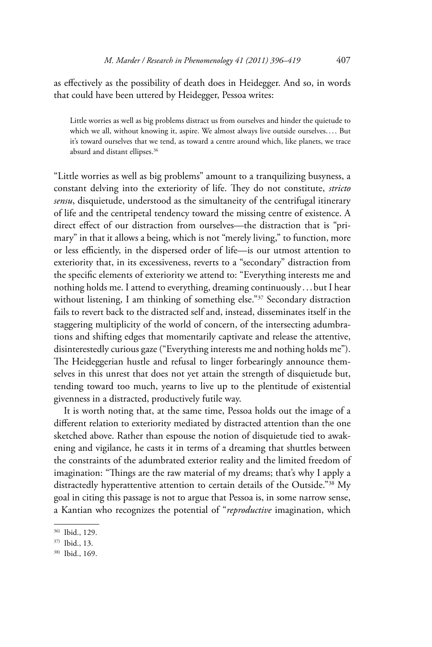as effectively as the possibility of death does in Heidegger. And so, in words that could have been uttered by Heidegger, Pessoa writes:

Little worries as well as big problems distract us from ourselves and hinder the quietude to which we all, without knowing it, aspire. We almost always live outside ourselves.... But it's toward ourselves that we tend, as toward a centre around which, like planets, we trace absurd and distant ellipses.36

"Little worries as well as big problems" amount to a tranquilizing busyness, a constant delving into the exteriority of life. They do not constitute, *stricto sensu*, disquietude, understood as the simultaneity of the centrifugal itinerary of life and the centripetal tendency toward the missing centre of existence. A direct effect of our distraction from ourselves—the distraction that is "primary" in that it allows a being, which is not "merely living," to function, more or less efficiently, in the dispersed order of life—is our utmost attention to exteriority that, in its excessiveness, reverts to a "secondary" distraction from the specific elements of exteriority we attend to: "Everything interests me and nothing holds me. I attend to everything, dreaming continuously . . . but I hear without listening, I am thinking of something else."<sup>37</sup> Secondary distraction fails to revert back to the distracted self and, instead, disseminates itself in the staggering multiplicity of the world of concern, of the intersecting adumbrations and shifting edges that momentarily captivate and release the attentive, disinterestedly curious gaze ("Everything interests me and nothing holds me"). The Heideggerian hustle and refusal to linger forbearingly announce themselves in this unrest that does not yet attain the strength of disquietude but, tending toward too much, yearns to live up to the plentitude of existential givenness in a distracted, productively futile way.

It is worth noting that, at the same time, Pessoa holds out the image of a different relation to exteriority mediated by distracted attention than the one sketched above. Rather than espouse the notion of disquietude tied to awakening and vigilance, he casts it in terms of a dreaming that shuttles between the constraints of the adumbrated exterior reality and the limited freedom of imagination: "Things are the raw material of my dreams; that's why I apply a distractedly hyperattentive attention to certain details of the Outside."38 My goal in citing this passage is not to argue that Pessoa is, in some narrow sense, a Kantian who recognizes the potential of "*reproductive* imagination, which

<sup>36)</sup> Ibid., 129.

<sup>37)</sup> Ibid., 13.

<sup>38)</sup> Ibid., 169.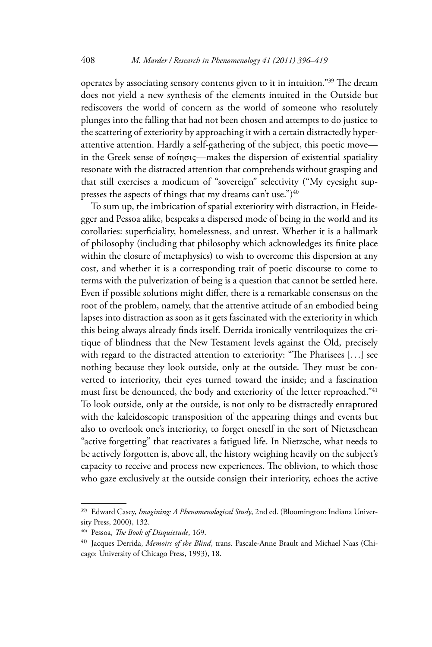operates by associating sensory contents given to it in intuition."39 The dream does not yield a new synthesis of the elements intuited in the Outside but rediscovers the world of concern as the world of someone who resolutely plunges into the falling that had not been chosen and attempts to do justice to the scattering of exteriority by approaching it with a certain distractedly hyperattentive attention. Hardly a self-gathering of the subject, this poetic move in the Greek sense of ποίησις—makes the dispersion of existential spatiality resonate with the distracted attention that comprehends without grasping and that still exercises a modicum of "sovereign" selectivity ("My eyesight suppresses the aspects of things that my dreams can't use.") $40$ 

To sum up, the imbrication of spatial exteriority with distraction, in Heidegger and Pessoa alike, bespeaks a dispersed mode of being in the world and its corollaries: superficiality, homelessness, and unrest. Whether it is a hallmark of philosophy (including that philosophy which acknowledges its finite place within the closure of metaphysics) to wish to overcome this dispersion at any cost, and whether it is a corresponding trait of poetic discourse to come to terms with the pulverization of being is a question that cannot be settled here. Even if possible solutions might differ, there is a remarkable consensus on the root of the problem, namely, that the attentive attitude of an embodied being lapses into distraction as soon as it gets fascinated with the exteriority in which this being always already finds itself. Derrida ironically ventriloquizes the critique of blindness that the New Testament levels against the Old, precisely with regard to the distracted attention to exteriority: "The Pharisees [. . .] see nothing because they look outside, only at the outside. They must be converted to interiority, their eyes turned toward the inside; and a fascination must first be denounced, the body and exteriority of the letter reproached."<sup>41</sup> To look outside, only at the outside, is not only to be distractedly enraptured with the kaleidoscopic transposition of the appearing things and events but also to overlook one's interiority, to forget oneself in the sort of Nietzschean "active forgetting" that reactivates a fatigued life. In Nietzsche, what needs to be actively forgotten is, above all, the history weighing heavily on the subject's capacity to receive and process new experiences. The oblivion, to which those who gaze exclusively at the outside consign their interiority, echoes the active

<sup>39)</sup> Edward Casey, *Imagining: A Phenomenological Study*, 2nd ed. (Bloomington: Indiana University Press, 2000), 132.

<sup>40)</sup> Pessoa, *The Book of Disquietude*, 169.

<sup>41)</sup> Jacques Derrida, *Memoirs of the Blind*, trans. Pascale-Anne Brault and Michael Naas (Chicago: University of Chicago Press, 1993), 18.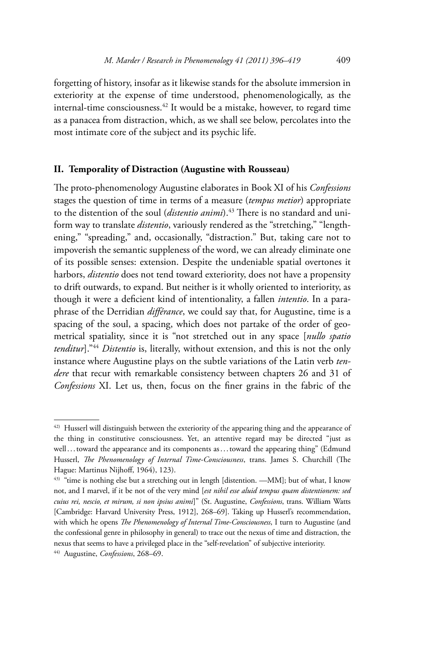forgetting of history, insofar as it likewise stands for the absolute immersion in exteriority at the expense of time understood, phenomenologically, as the internal-time consciousness.42 It would be a mistake, however, to regard time as a panacea from distraction, which, as we shall see below, percolates into the most intimate core of the subject and its psychic life.

## **II. Temporality of Distraction (Augustine with Rousseau)**

The proto-phenomenology Augustine elaborates in Book XI of his *Confessions*  stages the question of time in terms of a measure (*tempus metior*) appropriate to the distention of the soul (*distentio animi*).<sup>43</sup> There is no standard and uniform way to translate *distentio*, variously rendered as the "stretching," "lengthening," "spreading," and, occasionally, "distraction." But, taking care not to impoverish the semantic suppleness of the word, we can already eliminate one of its possible senses: extension. Despite the undeniable spatial overtones it harbors, *distentio* does not tend toward exteriority, does not have a propensity to drift outwards, to expand. But neither is it wholly oriented to interiority, as though it were a deficient kind of intentionality, a fallen *intentio*. In a paraphrase of the Derridian *différance*, we could say that, for Augustine, time is a spacing of the soul, a spacing, which does not partake of the order of geometrical spatiality, since it is "not stretched out in any space [*nullo spatio tenditur*]."44 *Distentio* is, literally, without extension, and this is not the only instance where Augustine plays on the subtle variations of the Latin verb *tendere* that recur with remarkable consistency between chapters 26 and 31 of *Confessions* XI. Let us, then, focus on the finer grains in the fabric of the

<sup>42)</sup> Husserl will distinguish between the exteriority of the appearing thing and the appearance of the thing in constitutive consciousness. Yet, an attentive regard may be directed "just as well...toward the appearance and its components as...toward the appearing thing" (Edmund Husserl, *The Phenomenology of Internal Time-Consciousness*, trans. James S. Churchill (The Hague: Martinus Nijhoff, 1964), 123).

<sup>&</sup>lt;sup>43)</sup> "time is nothing else but a stretching out in length [distention. —MM]; but of what, I know not, and I marvel, if it be not of the very mind [*est nihil esse aluid tempus quam distentionem: sed cuius rei, nescio, et mirum, si non ipsius animi*]" (St. Augustine, *Confessions*, trans. William Watts [Cambridge: Harvard University Press, 1912], 268–69]. Taking up Husserl's recommendation, with which he opens *The Phenomenology of Internal Time-Consciousness*, I turn to Augustine (and the confessional genre in philosophy in general) to trace out the nexus of time and distraction, the nexus that seems to have a privileged place in the "self-revelation" of subjective interiority.

<sup>44)</sup> Augustine, *Confessions*, 268–69.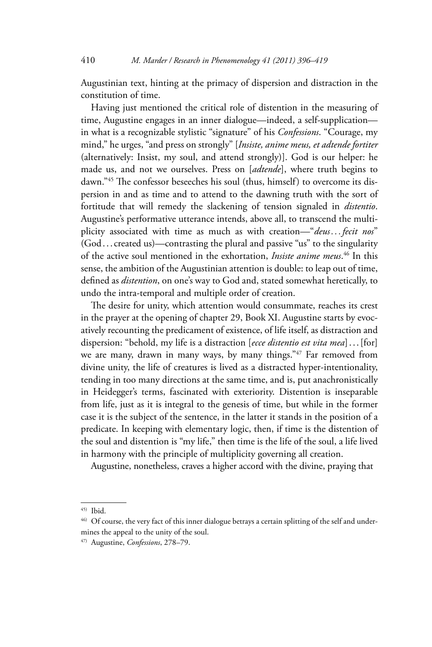Augustinian text, hinting at the primacy of dispersion and distraction in the constitution of time.

Having just mentioned the critical role of distention in the measuring of time, Augustine engages in an inner dialogue—indeed, a self-supplication in what is a recognizable stylistic "signature" of his *Confessions*. "Courage, my mind," he urges, "and press on strongly" [*Insiste, anime meus, et adtende fortiter*  (alternatively: Insist, my soul, and attend strongly)]. God is our helper: he made us, and not we ourselves. Press on [*adtende*], where truth begins to dawn."45 The confessor beseeches his soul (thus, himself) to overcome its dispersion in and as time and to attend to the dawning truth with the sort of fortitude that will remedy the slackening of tension signaled in *distentio*. Augustine's performative utterance intends, above all, to transcend the multiplicity associated with time as much as with creation—"*deus . . . fecit nos*" (God . . . created us)—contrasting the plural and passive "us" to the singularity of the active soul mentioned in the exhortation, *Insiste anime meus*. 46 In this sense, the ambition of the Augustinian attention is double: to leap out of time, defined as *distention*, on one's way to God and, stated somewhat heretically, to undo the intra-temporal and multiple order of creation.

The desire for unity, which attention would consummate, reaches its crest in the prayer at the opening of chapter 29, Book XI. Augustine starts by evocatively recounting the predicament of existence, of life itself, as distraction and dispersion: "behold, my life is a distraction [*ecce distentio est vita mea*] . . . [for] we are many, drawn in many ways, by many things."47 Far removed from divine unity, the life of creatures is lived as a distracted hyper-intentionality, tending in too many directions at the same time, and is, put anachronistically in Heidegger's terms, fascinated with exteriority. Distention is inseparable from life, just as it is integral to the genesis of time, but while in the former case it is the subject of the sentence, in the latter it stands in the position of a predicate. In keeping with elementary logic, then, if time is the distention of the soul and distention is "my life," then time is the life of the soul, a life lived in harmony with the principle of multiplicity governing all creation.

Augustine, nonetheless, craves a higher accord with the divine, praying that

<sup>45)</sup> Ibid.

<sup>&</sup>lt;sup>46)</sup> Of course, the very fact of this inner dialogue betrays a certain splitting of the self and undermines the appeal to the unity of the soul.

<sup>47)</sup> Augustine, *Confessions*, 278–79.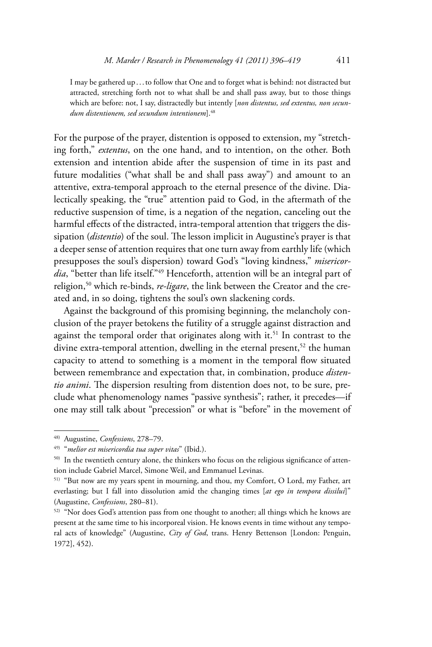I may be gathered up . . . to follow that One and to forget what is behind: not distracted but attracted, stretching forth not to what shall be and shall pass away, but to those things which are before: not, I say, distractedly but intently [*non distentus, sed extentus, non secundum distentionem, sed secundum intentionem*].48

For the purpose of the prayer, distention is opposed to extension, my "stretching forth," *extentus*, on the one hand, and to intention, on the other. Both extension and intention abide after the suspension of time in its past and future modalities ("what shall be and shall pass away") and amount to an attentive, extra-temporal approach to the eternal presence of the divine. Dialectically speaking, the "true" attention paid to God, in the aftermath of the reductive suspension of time, is a negation of the negation, canceling out the harmful effects of the distracted, intra-temporal attention that triggers the dissipation (*distentio*) of the soul. The lesson implicit in Augustine's prayer is that a deeper sense of attention requires that one turn away from earthly life (which presupposes the soul's dispersion) toward God's "loving kindness," *misericordia*, "better than life itself."49 Henceforth, attention will be an integral part of religion,50 which re-binds, *re-ligare*, the link between the Creator and the created and, in so doing, tightens the soul's own slackening cords.

Against the background of this promising beginning, the melancholy conclusion of the prayer betokens the futility of a struggle against distraction and against the temporal order that originates along with it.<sup>51</sup> In contrast to the divine extra-temporal attention, dwelling in the eternal present,<sup>52</sup> the human capacity to attend to something is a moment in the temporal flow situated between remembrance and expectation that, in combination, produce *distentio animi*. The dispersion resulting from distention does not, to be sure, preclude what phenomenology names "passive synthesis"; rather, it precedes—if one may still talk about "precession" or what is "before" in the movement of

<sup>48)</sup> Augustine, *Confessions*, 278–79.

<sup>49) &</sup>quot;*melior est misericordia tua super vitas*" (Ibid.).

<sup>50)</sup> In the twentieth century alone, the thinkers who focus on the religious significance of attention include Gabriel Marcel, Simone Weil, and Emmanuel Levinas.

<sup>51) &</sup>quot;But now are my years spent in mourning, and thou, my Comfort, O Lord, my Father, art everlasting; but I fall into dissolution amid the changing times [*at ego in tempora dissilui*]" (Augustine, *Confessions*, 280–81).

<sup>52) &</sup>quot;Nor does God's attention pass from one thought to another; all things which he knows are present at the same time to his incorporeal vision. He knows events in time without any temporal acts of knowledge" (Augustine, *City of God*, trans. Henry Bettenson [London: Penguin, 1972], 452).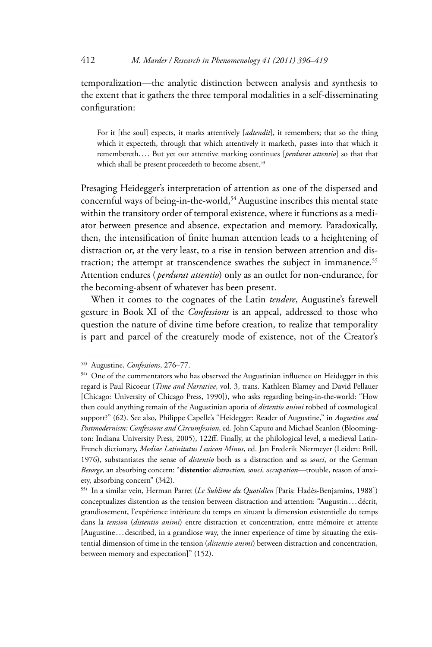temporalization—the analytic distinction between analysis and synthesis to the extent that it gathers the three temporal modalities in a self-disseminating configuration:

For it [the soul] expects, it marks attentively [*adtendit*], it remembers; that so the thing which it expecteth, through that which attentively it marketh, passes into that which it remembereth.... But yet our attentive marking continues [*perdurat attentio*] so that that which shall be present proceedeth to become absent.<sup>53</sup>

Presaging Heidegger's interpretation of attention as one of the dispersed and concernful ways of being-in-the-world,<sup>54</sup> Augustine inscribes this mental state within the transitory order of temporal existence, where it functions as a mediator between presence and absence, expectation and memory. Paradoxically, then, the intensification of finite human attention leads to a heightening of distraction or, at the very least, to a rise in tension between attention and distraction; the attempt at transcendence swathes the subject in immanence.<sup>55</sup> Attention endures ( *perdurat attentio*) only as an outlet for non-endurance, for the becoming-absent of whatever has been present.

When it comes to the cognates of the Latin *tendere*, Augustine's farewell gesture in Book XI of the *Confessions* is an appeal, addressed to those who question the nature of divine time before creation, to realize that temporality is part and parcel of the creaturely mode of existence, not of the Creator's

<sup>53)</sup> Augustine, *Confessions*, 276–77.

<sup>54)</sup> One of the commentators who has observed the Augustinian influence on Heidegger in this regard is Paul Ricoeur (*Time and Narrative*, vol. 3, trans. Kathleen Blamey and David Pellauer [Chicago: University of Chicago Press, 1990]), who asks regarding being-in-the-world: "How then could anything remain of the Augustinian aporia of *distentio animi* robbed of cosmological support?" (62). See also, Philippe Capelle's "Heidegger: Reader of Augustine," in *Augustine and Postmodernism: Confessions and Circumfession*, ed. John Caputo and Michael Seanlon (Bloomington: Indiana University Press, 2005), 122ff. Finally, at the philological level, a medieval Latin-French dictionary, *Mediae Latinitatus Lexicon Minus*, ed. Jan Frederik Niermeyer (Leiden: Brill, 1976), substantiates the sense of *distentio* both as a distraction and as *souci*, or the German *Besorge*, an absorbing concern: "**distentio**: *distraction, souci, occupation*—trouble, reason of anxiety, absorbing concern" (342).

<sup>55)</sup> In a similar vein, Herman Parret (*Le Sublime du Quotidien* [Paris: Hadès-Benjamins, 1988]) conceptualizes distention as the tension between distraction and attention: "Augustin . . . décrit, grandiosement, l'expérience intérieure du temps en situant la dimension existentielle du temps dans la *tension* (*distentio animi*) entre distraction et concentration, entre mémoire et attente [Augustine . . . described, in a grandiose way, the inner experience of time by situating the existential dimension of time in the tension (*distentio animi*) between distraction and concentration, between memory and expectation]" (152).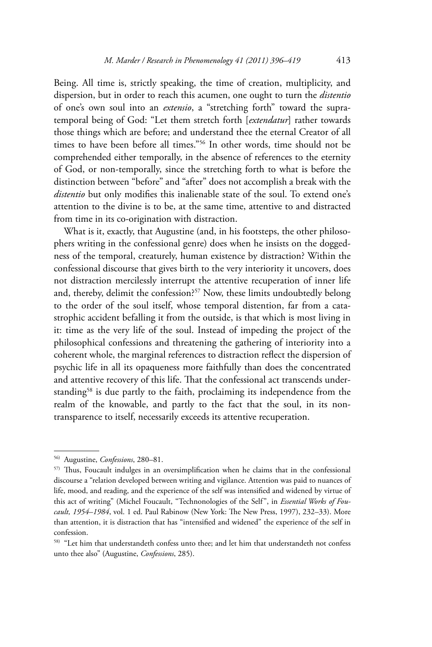Being. All time is, strictly speaking, the time of creation, multiplicity, and dispersion, but in order to reach this acumen, one ought to turn the *distentio*  of one's own soul into an *extensio*, a "stretching forth" toward the supratemporal being of God: "Let them stretch forth [*extendatur*] rather towards those things which are before; and understand thee the eternal Creator of all times to have been before all times."56 In other words, time should not be comprehended either temporally, in the absence of references to the eternity of God, or non-temporally, since the stretching forth to what is before the distinction between "before" and "after" does not accomplish a break with the *distentio* but only modifies this inalienable state of the soul. To extend one's attention to the divine is to be, at the same time, attentive to and distracted from time in its co-origination with distraction.

What is it, exactly, that Augustine (and, in his footsteps, the other philosophers writing in the confessional genre) does when he insists on the doggedness of the temporal, creaturely, human existence by distraction? Within the confessional discourse that gives birth to the very interiority it uncovers, does not distraction mercilessly interrupt the attentive recuperation of inner life and, thereby, delimit the confession?<sup>57</sup> Now, these limits undoubtedly belong to the order of the soul itself, whose temporal distention, far from a catastrophic accident befalling it from the outside, is that which is most living in it: time as the very life of the soul. Instead of impeding the project of the philosophical confessions and threatening the gathering of interiority into a coherent whole, the marginal references to distraction reflect the dispersion of psychic life in all its opaqueness more faithfully than does the concentrated and attentive recovery of this life. That the confessional act transcends understanding<sup>58</sup> is due partly to the faith, proclaiming its independence from the realm of the knowable, and partly to the fact that the soul, in its nontransparence to itself, necessarily exceeds its attentive recuperation.

<sup>56)</sup> Augustine, *Confessions*, 280–81.

<sup>57)</sup> Thus, Foucault indulges in an oversimplification when he claims that in the confessional discourse a "relation developed between writing and vigilance. Attention was paid to nuances of life, mood, and reading, and the experience of the self was intensified and widened by virtue of this act of writing" (Michel Foucault, "Technonologies of the Self", in *Essential Works of Foucault, 1954–1984*, vol. 1 ed. Paul Rabinow (New York: The New Press, 1997), 232–33). More than attention, it is distraction that has "intensified and widened" the experience of the self in confession.

<sup>58) &</sup>quot;Let him that understandeth confess unto thee; and let him that understandeth not confess unto thee also" (Augustine, *Confessions*, 285).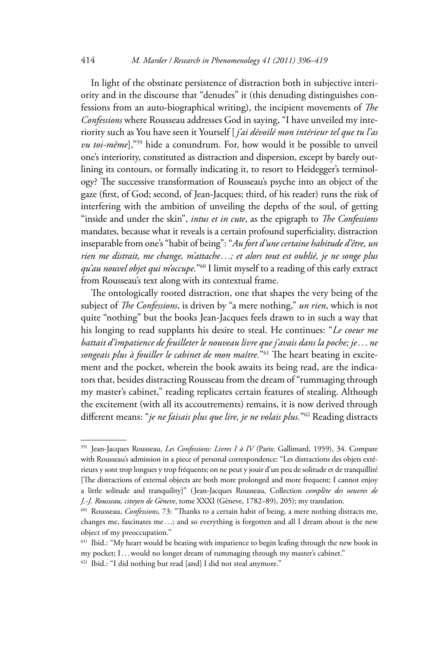In light of the obstinate persistence of distraction both in subjective interiority and in the discourse that "denudes" it (this denuding distinguishes confessions from an auto-biographical writing), the incipient movements of *The Confessions* where Rousseau addresses God in saying, "I have unveiled my interiority such as You have seen it Yourself [ *j'ai dévoilé mon intérieur tel que tu l'as vu toi-même*],"<sup>59</sup> hide a conundrum. For, how would it be possible to unveil one's interiority, constituted as distraction and dispersion, except by barely outlining its contours, or formally indicating it, to resort to Heidegger's terminology? The successive transformation of Rousseau's psyche into an object of the gaze (first, of God; second, of Jean-Jacques; third, of his reader) runs the risk of interfering with the ambition of unveiling the depths of the soul, of getting "inside and under the skin", *intus et in cute*, as the epigraph to *The Confessions*  mandates, because what it reveals is a certain profound superficiality, distraction inseparable from one's "habit of being": "*Au fort d'une certaine habitude d'être, un rien me distrait, me change, m'attache . . .; et alors tout est oublié, je ne songe plus qu'au nouvel objet qui m'occupe.*"60 I limit myself to a reading of this early extract from Rousseau's text along with its contextual frame.

The ontologically rooted distraction, one that shapes the very being of the subject of *The Confessions*, is driven by "a mere nothing," *un rien*, which is not quite "nothing" but the books Jean-Jacques feels drawn to in such a way that his longing to read supplants his desire to steal. He continues: "*Le coeur me battait d'impatience de feuilleter le nouveau livre que j'avais dans la poche; je . . . ne songeais plus à fouiller le cabinet de mon maître.*"61 The heart beating in excitement and the pocket, wherein the book awaits its being read, are the indicators that, besides distracting Rousseau from the dream of "rummaging through my master's cabinet," reading replicates certain features of stealing. Although the excitement (with all its accoutrements) remains, it is now derived through different means: "*je ne faisais plus que lire, je ne volais plus.*"62 Reading distracts

<sup>59)</sup> Jean-Jacques Rousseau, *Les Confessions: Livres I à IV* (Paris: Gallimard, 1959), 34. Compare with Rousseau's admission in a piece of personal correspondence: "Les distractions des objets extérieurs y sont trop longues y trop fréquents; on ne peut y jouir d'un peu de solitude et de tranquillité [The distractions of external objects are both more prolonged and more frequent; I cannot enjoy a little solitude and tranquility]" ( Jean-Jacques Rousseau, Collection *complète des oeuvres de J.-J. Rousseau, citoyen de Gèneve*, tome XXXI (Gèneve, 1782–89), 205); my translation.

<sup>60)</sup> Rousseau, *Confessions*, 73: "Thanks to a certain habit of being, a mere nothing distracts me, changes me, fascinates me . . .; and so everything is forgotten and all I dream about is the new object of my preoccupation."

<sup>61)</sup> Ibid.: "My heart would be beating with impatience to begin leafing through the new book in my pocket; I... would no longer dream of rummaging through my master's cabinet."

<sup>62)</sup> Ibid.: "I did nothing but read [and] I did not steal anymore."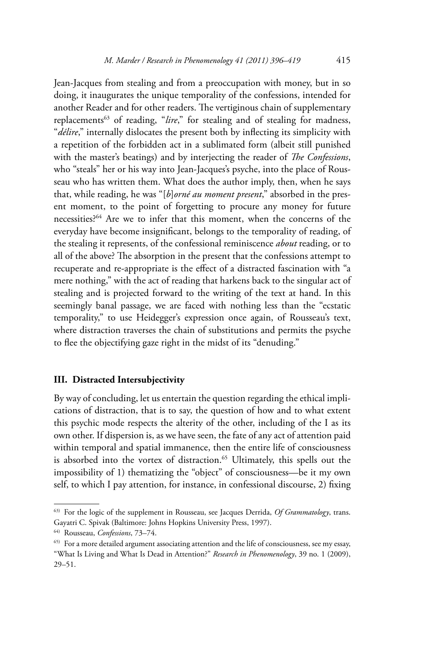Jean-Jacques from stealing and from a preoccupation with money, but in so doing, it inaugurates the unique temporality of the confessions, intended for another Reader and for other readers. The vertiginous chain of supplementary replacements<sup>63</sup> of reading, "*lire*," for stealing and of stealing for madness, "*délire*," internally dislocates the present both by inflecting its simplicity with a repetition of the forbidden act in a sublimated form (albeit still punished with the master's beatings) and by interjecting the reader of *The Confessions*, who "steals" her or his way into Jean-Jacques's psyche, into the place of Rousseau who has written them. What does the author imply, then, when he says that, while reading, he was "[*b*]*orné au moment present*," absorbed in the present moment, to the point of forgetting to procure any money for future necessities?64 Are we to infer that this moment, when the concerns of the everyday have become insignificant, belongs to the temporality of reading, of the stealing it represents, of the confessional reminiscence *about* reading, or to all of the above? The absorption in the present that the confessions attempt to recuperate and re-appropriate is the effect of a distracted fascination with "a mere nothing," with the act of reading that harkens back to the singular act of stealing and is projected forward to the writing of the text at hand. In this seemingly banal passage, we are faced with nothing less than the "ecstatic temporality," to use Heidegger's expression once again, of Rousseau's text, where distraction traverses the chain of substitutions and permits the psyche to flee the objectifying gaze right in the midst of its "denuding."

## **III. Distracted Intersubjectivity**

By way of concluding, let us entertain the question regarding the ethical implications of distraction, that is to say, the question of how and to what extent this psychic mode respects the alterity of the other, including of the I as its own other. If dispersion is, as we have seen, the fate of any act of attention paid within temporal and spatial immanence, then the entire life of consciousness is absorbed into the vortex of distraction.<sup>65</sup> Ultimately, this spells out the impossibility of 1) thematizing the "object" of consciousness—be it my own self, to which I pay attention, for instance, in confessional discourse, 2) fixing

<sup>63)</sup> For the logic of the supplement in Rousseau, see Jacques Derrida, *Of Grammatology*, trans. Gayatri C. Spivak (Baltimore: Johns Hopkins University Press, 1997).

<sup>64)</sup> Rousseau, *Confessions*, 73–74.

<sup>65)</sup> For a more detailed argument associating attention and the life of consciousness, see my essay, "What Is Living and What Is Dead in Attention?" *Research in Phenomenology*, 39 no. 1 (2009), 29–51.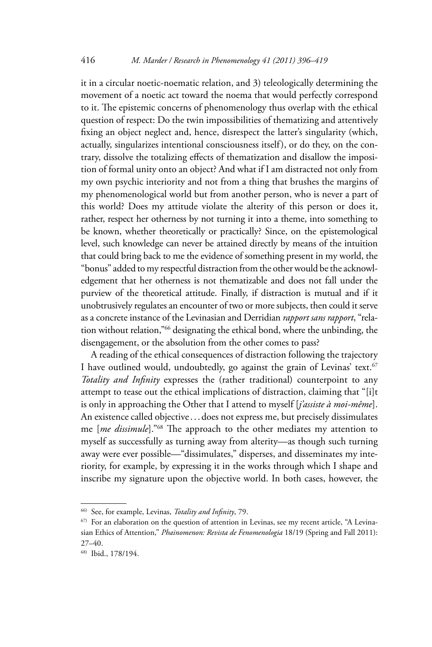it in a circular noetic-noematic relation, and 3) teleologically determining the movement of a noetic act toward the noema that would perfectly correspond to it. The epistemic concerns of phenomenology thus overlap with the ethical question of respect: Do the twin impossibilities of thematizing and attentively fixing an object neglect and, hence, disrespect the latter's singularity (which, actually, singularizes intentional consciousness itself), or do they, on the contrary, dissolve the totalizing effects of thematization and disallow the imposition of formal unity onto an object? And what if I am distracted not only from my own psychic interiority and not from a thing that brushes the margins of my phenomenological world but from another person, who is never a part of this world? Does my attitude violate the alterity of this person or does it, rather, respect her otherness by not turning it into a theme, into something to be known, whether theoretically or practically? Since, on the epistemological level, such knowledge can never be attained directly by means of the intuition that could bring back to me the evidence of something present in my world, the "bonus" added to my respectful distraction from the other would be the acknowledgement that her otherness is not thematizable and does not fall under the purview of the theoretical attitude. Finally, if distraction is mutual and if it unobtrusively regulates an encounter of two or more subjects, then could it serve as a concrete instance of the Levinasian and Derridian *rapport sans rapport*, "relation without relation,"66 designating the ethical bond, where the unbinding, the disengagement, or the absolution from the other comes to pass?

A reading of the ethical consequences of distraction following the trajectory I have outlined would, undoubtedly, go against the grain of Levinas' text.<sup>67</sup> *Totality and Infinity* expresses the (rather traditional) counterpoint to any attempt to tease out the ethical implications of distraction, claiming that "[i]t is only in approaching the Other that I attend to myself [*j'assiste à moi-même*]. An existence called objective ... does not express me, but precisely dissimulates me [*me dissimule*]."68 The approach to the other mediates my attention to myself as successfully as turning away from alterity—as though such turning away were ever possible—"dissimulates," disperses, and disseminates my interiority, for example, by expressing it in the works through which I shape and inscribe my signature upon the objective world. In both cases, however, the

<sup>66)</sup> See, for example, Levinas, *Totality and Infinity*, 79.

<sup>67)</sup> For an elaboration on the question of attention in Levinas, see my recent article, "A Levinasian Ethics of Attention," *Phainomenon: Revista de Fenomenologia* 18/19 (Spring and Fall 2011): 27–40.

<sup>68)</sup> Ibid., 178/194.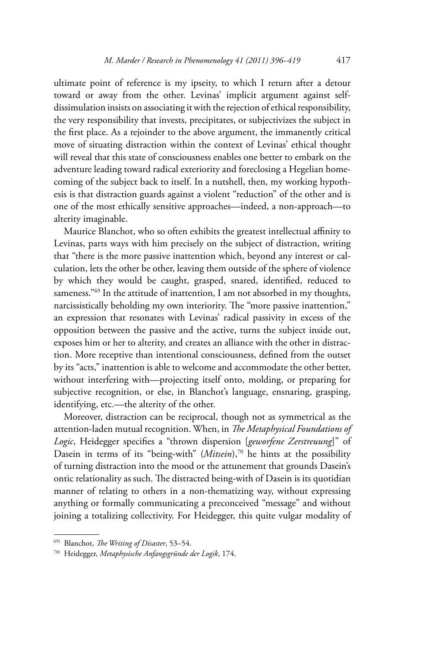ultimate point of reference is my ipseity, to which I return after a detour toward or away from the other. Levinas' implicit argument against selfdissimulation insists on associating it with the rejection of ethical responsibility, the very responsibility that invests, precipitates, or subjectivizes the subject in the first place. As a rejoinder to the above argument, the immanently critical move of situating distraction within the context of Levinas' ethical thought will reveal that this state of consciousness enables one better to embark on the adventure leading toward radical exteriority and foreclosing a Hegelian homecoming of the subject back to itself. In a nutshell, then, my working hypothesis is that distraction guards against a violent "reduction" of the other and is one of the most ethically sensitive approaches—indeed, a non-approach—to alterity imaginable.

Maurice Blanchot, who so often exhibits the greatest intellectual affinity to Levinas, parts ways with him precisely on the subject of distraction, writing that "there is the more passive inattention which, beyond any interest or calculation, lets the other be other, leaving them outside of the sphere of violence by which they would be caught, grasped, snared, identified, reduced to sameness."<sup>69</sup> In the attitude of inattention, I am not absorbed in my thoughts, narcissistically beholding my own interiority. The "more passive inattention," an expression that resonates with Levinas' radical passivity in excess of the opposition between the passive and the active, turns the subject inside out, exposes him or her to alterity, and creates an alliance with the other in distraction. More receptive than intentional consciousness, defined from the outset by its "acts," inattention is able to welcome and accommodate the other better, without interfering with—projecting itself onto, molding, or preparing for subjective recognition, or else, in Blanchot's language, ensnaring, grasping, identifying, etc.—the alterity of the other.

Moreover, distraction can be reciprocal, though not as symmetrical as the attention-laden mutual recognition. When, in *The Metaphysical Foundations of Logic*, Heidegger specifies a "thrown dispersion [*geworfene Zerstreuung*]" of Dasein in terms of its "being-with" (*Mitsein*),<sup>70</sup> he hints at the possibility of turning distraction into the mood or the attunement that grounds Dasein's ontic relationality as such. The distracted being-with of Dasein is its quotidian manner of relating to others in a non-thematizing way, without expressing anything or formally communicating a preconceived "message" and without joining a totalizing collectivity. For Heidegger, this quite vulgar modality of

<sup>69)</sup> Blanchot, *The Writing of Disaster*, 53–54. 70) Heidegger, *Metaphysische Anfangsgründe der Logik*, 174.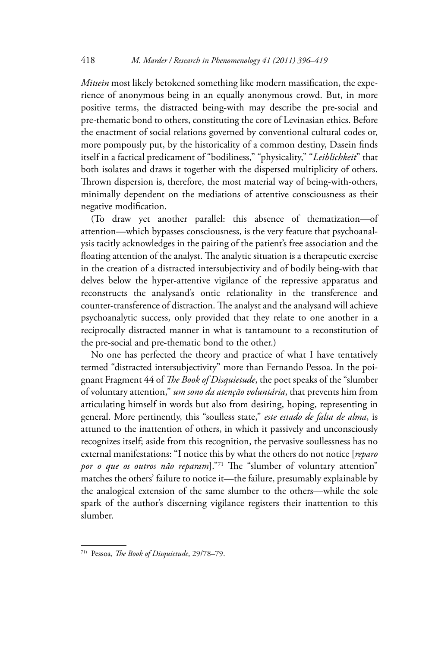*Mitsein* most likely betokened something like modern massification, the experience of anonymous being in an equally anonymous crowd. But, in more positive terms, the distracted being-with may describe the pre-social and pre-thematic bond to others, constituting the core of Levinasian ethics. Before the enactment of social relations governed by conventional cultural codes or, more pompously put, by the historicality of a common destiny, Dasein finds itself in a factical predicament of "bodiliness," "physicality," "*Leiblichkeit*" that both isolates and draws it together with the dispersed multiplicity of others. Thrown dispersion is, therefore, the most material way of being-with-others, minimally dependent on the mediations of attentive consciousness as their negative modification.

(To draw yet another parallel: this absence of thematization—of attention—which bypasses consciousness, is the very feature that psychoanalysis tacitly acknowledges in the pairing of the patient's free association and the floating attention of the analyst. The analytic situation is a therapeutic exercise in the creation of a distracted intersubjectivity and of bodily being-with that delves below the hyper-attentive vigilance of the repressive apparatus and reconstructs the analysand's ontic relationality in the transference and counter-transference of distraction. The analyst and the analysand will achieve psychoanalytic success, only provided that they relate to one another in a reciprocally distracted manner in what is tantamount to a reconstitution of the pre-social and pre-thematic bond to the other.)

No one has perfected the theory and practice of what I have tentatively termed "distracted intersubjectivity" more than Fernando Pessoa. In the poignant Fragment 44 of *The Book of Disquietude*, the poet speaks of the "slumber of voluntary attention," *um sono da atenção voluntária*, that prevents him from articulating himself in words but also from desiring, hoping, representing in general. More pertinently, this "soulless state," *este estado de falta de alma*, is attuned to the inattention of others, in which it passively and unconsciously recognizes itself; aside from this recognition, the pervasive soullessness has no external manifestations: "I notice this by what the others do not notice [*reparo por o que os outros não reparam*]."71 The "slumber of voluntary attention" matches the others' failure to notice it—the failure, presumably explainable by the analogical extension of the same slumber to the others—while the sole spark of the author's discerning vigilance registers their inattention to this slumber.

<sup>71)</sup> Pessoa, *The Book of Disquietude*, 29/78–79.